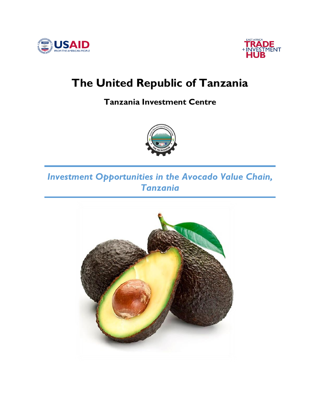



# **The United Republic of Tanzania**

**Tanzania Investment Centre**



# *Investment Opportunities in the Avocado Value Chain, Tanzania*

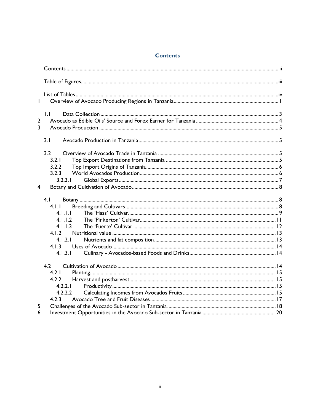#### **Contents**

<span id="page-1-0"></span>

| $\mathbf{L}$   |              |  |
|----------------|--------------|--|
|                |              |  |
| $\overline{2}$ | $\mathsf{L}$ |  |
| $\overline{3}$ |              |  |
|                |              |  |
|                | 3.1          |  |
|                | 3.2          |  |
|                | 3.2.1        |  |
|                | 3.2.2        |  |
|                | 3.2.3        |  |
|                | 3.2.3.1      |  |
| $\overline{4}$ |              |  |
|                | 4.1          |  |
|                | 4.1.1        |  |
|                | 4.1.1.1      |  |
|                | 4.1.1.2      |  |
|                | 4.1.1.3      |  |
|                | 4.1.2        |  |
|                | 4.1.2.1      |  |
|                | 4.1.3        |  |
|                | 4.1.3.1      |  |
|                | 4.2          |  |
|                | 4.2.1        |  |
|                | 4.2.2        |  |
|                | 4.2.2.1      |  |
|                | 4.2.2.2      |  |
|                | 4.2.3        |  |
| 5              |              |  |
| 6              |              |  |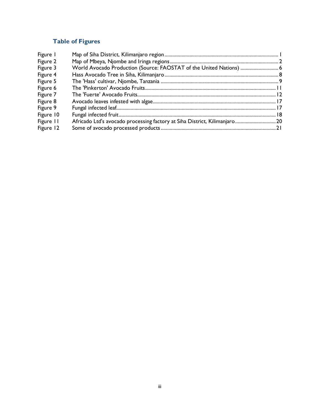## **Table of Figures**

<span id="page-2-0"></span>

| Figure I  |                                                                            |  |
|-----------|----------------------------------------------------------------------------|--|
| Figure 2  |                                                                            |  |
| Figure 3  | World Avocado Production (Source: FAOSTAT of the United Nations)  6        |  |
| Figure 4  |                                                                            |  |
| Figure 5  |                                                                            |  |
| Figure 6  |                                                                            |  |
| Figure 7  |                                                                            |  |
| Figure 8  |                                                                            |  |
| Figure 9  |                                                                            |  |
| Figure 10 |                                                                            |  |
| Figure II | Africado Ltd's avocado processing factory at Siha District, Kilimanjaro 20 |  |
| Figure 12 |                                                                            |  |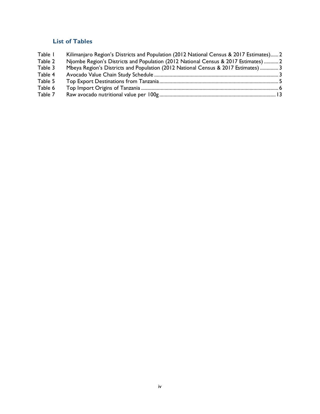## **List of Tables**

<span id="page-3-0"></span>

| Table I | Kilimanjaro Region's Districts and Population (2012 National Census & 2017 Estimates) 2 |  |
|---------|-----------------------------------------------------------------------------------------|--|
| Table 2 | Njombe Region's Districts and Population (2012 National Census & 2017 Estimates)  2     |  |
| Table 3 | Mbeya Region's Districts and Population (2012 National Census & 2017 Estimates)  3      |  |
| Table 4 |                                                                                         |  |
| Table 5 |                                                                                         |  |
| Table 6 |                                                                                         |  |
| Table 7 |                                                                                         |  |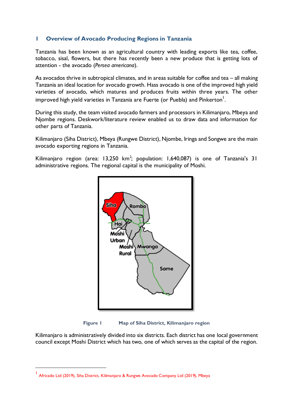#### <span id="page-4-0"></span>**1 Overview of Avocado Producing Regions in Tanzania**

Tanzania has been known as an agricultural country with leading exports like tea, coffee, tobacco, sisal, flowers, but there has recently been a new produce that is getting lots of attention - the avocado (*Persea americana*).

As avocados thrive in subtropical climates, and in areas suitable for coffee and tea – all making Tanzania an ideal location for avocado growth. Hass avocado is one of the improved high yield varieties of avocado, which matures and produces fruits within three years. The other improved high yield varieties in Tanzania are Fuerte (or Puebla) and Pinkerton $^{\mathsf{l}}.$ 

During this study, the team visited avocado farmers and processors in Kilimanjaro, Mbeya and Njombe regions. Deskwork/literature review enabled us to draw data and information for other parts of Tanzania.

Kilimanjaro (Siha District), Mbeya (Rungwe District), Njombe, Iringa and Songwe are the main avocado exporting regions in Tanzania.

Kilimanjaro region (area: 13,250 km<sup>2</sup>; population: 1,640,087) is one of Tanzania's 31 administrative regions. The regional capital is the municipality of Moshi.



**Figure 1 Map of Siha District, Kilimanjaro region**

<span id="page-4-1"></span>Kilimanjaro is administratively divided into six districts. Each district has one local government council except Moshi District which has two, one of which serves as the capital of the region.

<sup>1</sup> Africado Ltd (2019), Siha District, Kilimanjaro & Rungwe Avocado Company Ltd (2019), Mbeya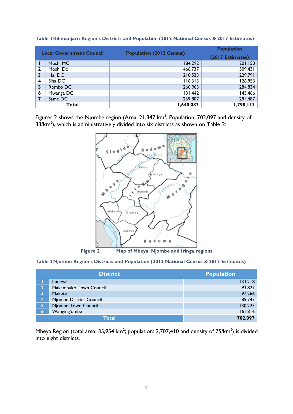| <b>Local Government Council</b> |           |                                 | <b>Population</b> |
|---------------------------------|-----------|---------------------------------|-------------------|
|                                 |           | <b>Population (2012 Census)</b> | (2017 Estimates)  |
|                                 | Moshi MC  | 184,292                         | 201,150           |
| 2                               | Moshi Dc  | 466,737                         | 509,431           |
| 3                               | Hai DC    | 210,533                         | 229,791           |
| $\boldsymbol{4}$                | Siha DC   | 116,313                         | 126,953           |
| 5                               | Rombo DC  | 260,963                         | 284,834           |
| 6                               | Mwanga DC | 131,442                         | 143,466           |
|                                 | Same DC   | 269,807                         | 294,487           |
|                                 | Total     | 1,640,087                       | 1,790,113         |

<span id="page-5-1"></span>**Table 1Kilimanjaro Region's Districts and Population (2012 National Census & 2017 Estimates)**

Figures 2 shows the Njombe region (Area:  $21,347$  km<sup>2</sup>; Population: 702,097 and density of  $33/km<sup>2</sup>$ ), which is administratively divided into six districts as shown on Table 2:



**Figure 2 Map of Mbeya, Njombe and Iringa regions**

<span id="page-5-2"></span><span id="page-5-0"></span>**Table 2Njombe Region's Districts and Population (2012 National Census & 2017 Estimates)**

|                    | <b>District</b>         | <b>Population</b> |
|--------------------|-------------------------|-------------------|
|                    | Ludewa                  | 133,218           |
|                    | Makambako Town Council  | 93,827            |
|                    | Makete                  | 97,266            |
| $\overline{\bf 4}$ | Njombe District Council | 85,747            |
| 5.                 | Njombe Town Council     | 130,223           |
| 6                  | Wanging'ombe            | 161,816           |
|                    | <b>Total</b>            | 702,097           |

Mbeya Region (total area: 35,954 km<sup>2</sup>; population: 2,707,410 and density of 75/km<sup>2</sup>) is divided into eight districts.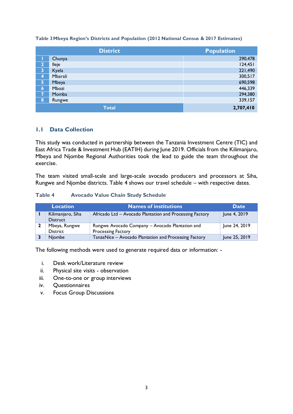#### <span id="page-6-1"></span>**Table 3Mbeya Region's Districts and Population (2012 National Census & 2017 Estimates)**

|                | <b>District</b> | <b>Population</b> |
|----------------|-----------------|-------------------|
|                | Chunya          | 290,478           |
| $\overline{2}$ | lleje           | 124,451           |
| 3              | Kyela           | 221,490           |
| 4              | Mbarali         | 300,517           |
| 5              | Mbeya           | 690,598           |
| 6              | Mbozi           | 446,339           |
| $\overline{I}$ | Momba           | 294,380           |
| 8              | Rungwe          | 339,157           |
|                | <b>Total</b>    | 2,707,410         |

#### <span id="page-6-0"></span>**1.1 Data Collection**

This study was conducted in partnership between the Tanzania Investment Centre (TIC) and East Africa Trade & Investment Hub (EATIH) during June 2019. Officials from the Kilimanjaro, Mbeya and Njombe Regional Authorities took the lead to guide the team throughout the exercise.

<span id="page-6-2"></span>The team visited small-scale and large-scale avocado producers and processors at Siha, Rungwe and Njombe districts. Table 4 shows our travel schedule – with respective dates.

#### **Table 4 Avocado Value Chain Study Schedule**

| <b>Location</b>                      | Names of institutions                                                 | <b>Date</b>   |
|--------------------------------------|-----------------------------------------------------------------------|---------------|
| Kilimanjaro, Siha<br><b>Distruct</b> | Africado Ltd - Avocado Plantation and Processing Factory              | June 4, 2019  |
| Mbeya, Rungwe<br>District            | Rungwe Avocado Company - Avocado Plantation and<br>Processing Factory | June 24, 2019 |
| <b>Niombe</b>                        | TanzaNice - Avocado Plantation and Processing Factory                 | June 25, 2019 |

The following methods were used to generate required data or information: -

- i. Desk work/Literature review
- ii. Physical site visits observation
- iii. One-to-one or group interviews
- iv. Questionnaires
- v. Focus Group Discussions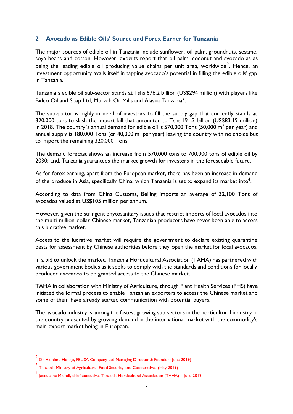#### <span id="page-7-0"></span>**2 Avocado as Edible Oils' Source and Forex Earner for Tanzania**

The major sources of edible oil in Tanzania include sunflower, oil palm, groundnuts, sesame, soya beans and cotton. However, experts report that oil palm, coconut and avocado as as being the leading edible oil producing value chains per unit area, worldwide<sup>2</sup>. Hence, an investment opportunity avails itself in tapping avocado's potential in filling the edible oils' gap in Tanzania.

Tanzania`s edible oil sub-sector stands at Tshs 676.2 billion (US\$294 million) with players like Bidco Oil and Soap Ltd, Murzah Oil Mills and Alaska Tanzania<sup>3</sup>.

The sub-sector is highly in need of investors to fill the supply gap that currently stands at 320,000 tons to slash the import bill that amounted to Tshs.191.3 billion (US\$83.19 million) in 2018. The country's annual demand for edible oil is 570,000 Tons (50,000  $m^3$  per year) and annual supply is 180,000 Tons (or 40,000  $m^3$  per year) leaving the country with no choice but to import the remaining 320,000 Tons.

The demand forecast shows an increase from 570,000 tons to 700,000 tons of edible oil by 2030; and, Tanzania guarantees the market growth for investors in the foreseeable future.

As for forex earning, apart from the European market, there has been an increase in demand of the produce in Asia, specifically China, which Tanzania is set to expand its market into $^4\!$ .

According to data from China Customs, Beijing imports an average of 32,100 Tons of avocados valued at US\$105 million per annum.

However, given the stringent phytosanitary issues that restrict imports of local avocados into the multi-million-dollar Chinese market, Tanzanian producers have never been able to access this lucrative market.

Access to the lucrative market will require the government to declare existing quarantine pests for assessment by Chinese authorities before they open the market for local avocados.

In a bid to unlock the market, Tanzania Horticultural Association (TAHA) has partnered with various government bodies as it seeks to comply with the standards and conditions for locally produced avocados to be granted access to the Chinese market.

TAHA in collaboration with Ministry of Agriculture, through Plant Health Services (PHS) have initiated the formal process to enable Tanzanian exporters to access the Chinese market and some of them have already started communication with potential buyers.

The avocado industry is among the fastest growing sub sectors in the horticultural industry in the country presented by growing demand in the international market with the commodity's main export market being in European.

<sup>&</sup>lt;sup>2</sup> Dr Hamimu Hongo, FELISA Company Ltd Managing Director & Founder (June 2019)

<sup>3</sup> Tanzania Ministry of Agriculture, Food Security and Cooperatives (May 2019)

<sup>4</sup> Jacqueline Mkindi, chief executive, Tanzania Horticultural Association (TAHA) – June 2019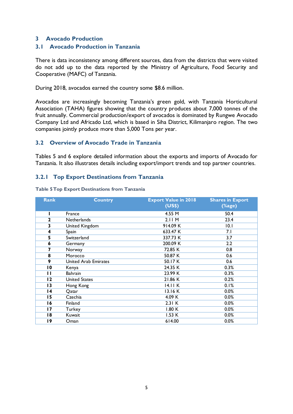#### <span id="page-8-1"></span><span id="page-8-0"></span>**3 Avocado Production**

#### **3.1 Avocado Production in Tanzania**

There is data inconsistency among different sources, data from the districts that were visited do not add up to the data reported by the Ministry of Agriculture, Food Security and Cooperative (MAFC) of Tanzania.

During 2018, avocados earned the country some \$8.6 million.

<span id="page-8-2"></span>Avocados are increasingly becoming Tanzania's green gold, with Tanzania Horticultural Association (TAHA) figures showing that the country produces about 7,000 tonnes of the fruit annually. Commercial production/export of avocados is dominated by Rungwe Avocado Company Ltd and Africado Ltd, which is based in Siha District, Kilimanjaro region. The two companies jointly produce more than 5,000 Tons per year.

#### **3.2 Overview of Avocado Trade in Tanzania**

<span id="page-8-4"></span><span id="page-8-3"></span>Tables 5 and 6 explore detailed information about the exports and imports of Avocado for Tanzania. It also illustrates details including export/import trends and top partner countries.

#### **3.2.1 Top Export Destinations from Tanzania**

| <b>Rank</b>     | <b>Country</b>              | <b>Export Value in 2018</b> | <b>Shares in Export</b> |
|-----------------|-----------------------------|-----------------------------|-------------------------|
|                 |                             | (US\$)                      | $(\%$ age)              |
|                 | France                      | 4.55 M                      | 50.4                    |
| $\mathbf{2}$    | Netherlands                 | 2.11M                       | 23.4                    |
| 3               | United Kingdom              | 914.09 K                    | 10.1                    |
| 4               | Spain                       | 633.47 K                    | 7.1                     |
| 5               | Switzerland                 | 337.73 K                    | 3.7                     |
| 6               | Germany                     | 200.09 K                    | 2.2                     |
| 7               | Norway                      | 72.85 K                     | 0.8                     |
| 8               | Morocco                     | 50.87 K                     | 0.6                     |
| 9               | <b>United Arab Emirates</b> | 50.17 K                     | 0.6                     |
| $\overline{10}$ | Kenya                       | 24.35 K                     | 0.3%                    |
| П               | Bahrain                     | 23.99 K                     | 0.3%                    |
| 12              | United States               | 21.86 K                     | 0.2%                    |
| 13              | Hong Kong                   | 14.11 K                     | 0.1%                    |
| 14              | Qatar                       | 13.16 K                     | 0.0%                    |
| 15              | Czechia                     | 4.09 K                      | 0.0%                    |
| 16              | Finland                     | 2.31 K                      | 0.0%                    |
| 17              | Turkey                      | 1.80K                       | 0.0%                    |
| 18              | Kuwait                      | 1.53 K                      | 0.0%                    |
| 19              | Oman                        | 614.00                      | 0.0%                    |

**Table 5Top Export Destinations from Tanzania**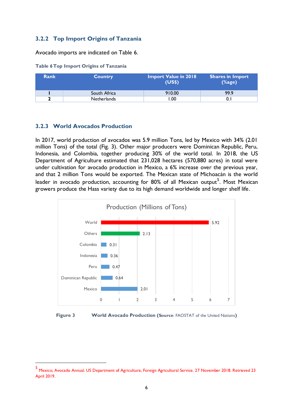#### <span id="page-9-3"></span><span id="page-9-0"></span>**3.2.2 Top Import Origins of Tanzania**

Avocado imports are indicated on Table 6.

| Table 6 Top Import Origins of Tanzania |  |  |  |
|----------------------------------------|--|--|--|
|                                        |  |  |  |

| Rank | <b>Country</b> | <b>Import Value in 2018</b><br>(USS) | <b>Shares in Import</b><br>$(% f\left( x\right) =\frac{1}{2},f\left( x\right) =\frac{1}{2}$ |
|------|----------------|--------------------------------------|---------------------------------------------------------------------------------------------|
|      | South Africa   | 910.00                               | 99.9                                                                                        |
|      | Netherlands    | .00                                  |                                                                                             |

#### <span id="page-9-1"></span>**3.2.3 World Avocados Production**

In 2017, world production of avocados was 5.9 million Tons, led by Mexico with 34% (2.01 million Tons) of the total (Fig. 3). Other major producers were Dominican Republic, Peru, Indonesia, and Colombia, together producing 30% of the world total. In 2018, the US Department of Agriculture estimated that 231,028 hectares (570,880 acres) in total were under cultivation for avocado production in Mexico, a 6% increase over the previous year, and that 2 million Tons would be exported. The Mexican state of Michoacán is the world leader in avocado production, accounting for  $80\%$  of all Mexican output $^5$ . Most Mexican growers produce the Hass variety due to its high demand worldwide and longer shelf life.



<span id="page-9-2"></span>

<sup>5</sup> Mexico; Avocado Annual. US Department of Agriculture, Foreign Agricultural Service. 27 November 2018. Retrieved 23 April 2019.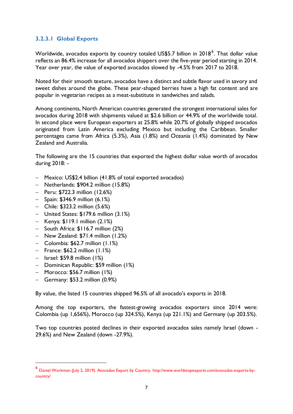#### <span id="page-10-0"></span>**3.2.3.1 Global Exports**

Worldwide, avocados exports by country totaled US\$5.7 billion in 2018<sup>6</sup>. That dollar value reflects an 86.4% increase for all avocados shippers over the five-year period starting in 2014. Year over year, the value of exported avocados slowed by -4.5% from 2017 to 2018.

Noted for their smooth texture, avocados have a distinct and subtle flavor used in savory and sweet dishes around the globe. These pear-shaped berries have a high fat content and are popular in vegetarian recipes as a meat-substitute in sandwiches and salads.

Among continents, North American countries generated the strongest international sales for avocados during 2018 with shipments valued at \$2.6 billion or 44.9% of the worldwide total. In second place were European exporters at 25.8% while 20.7% of globally shipped avocados originated from Latin America excluding Mexico but including the Caribbean. Smaller percentages came from Africa (5.3%), Asia (1.8%) and Oceania (1.4%) dominated by New Zealand and Australia.

The following are the 15 countries that exported the highest dollar value worth of avocados during 2018: -

- − Mexico: US\$2.4 billion (41.8% of total exported avocados)
- − Netherlands: \$904.2 million (15.8%)
- − Peru: \$722.3 million (12.6%)
- − Spain: \$346.9 million (6.1%)
- − Chile: \$323.2 million (5.6%)
- − United States: \$179.6 million (3.1%)
- − Kenya: \$119.1 million (2.1%)
- − South Africa: \$116.7 million (2%)
- − New Zealand: \$71.4 million (1.2%)
- − Colombia: \$62.7 million (1.1%)
- − France: \$62.2 million (1.1%)
- − Israel: \$59.8 million (1%)
- − Dominican Republic: \$59 million (1%)
- − Morocco: \$56.7 million (1%)
- − Germany: \$53.2 million (0.9%)

By value, the listed 15 countries shipped 96.5% of all avocado's exports in 2018.

Among the top exporters, the fastest-growing avocados exporters since 2014 were: Colombia (up 1,656%), Morocco (up 324.5%), Kenya (up 221.1%) and Germany (up 203.5%).

Two top countries posted declines in their exported avocados sales namely Israel (down - 29.6%) and New Zealand (down -27.9%).

<sup>6</sup> Daniel Workman (July 2, 2019). Avocados Export by Country. http://www.worldstopexports.com/avocados-exports-bycountry/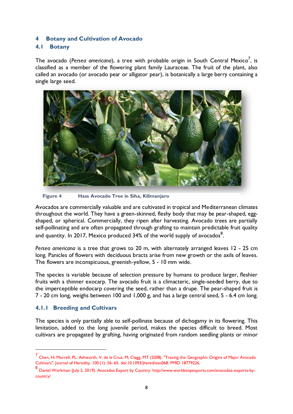#### <span id="page-11-1"></span><span id="page-11-0"></span>**4 Botany and Cultivation of Avocado**

#### **4.1 Botany**

The avocado (Perse*a americana*), a tree with probable origin in South Central Mexico<sup>7</sup>, is classified as a member of the flowering plant family Lauraceae. The fruit of the plant, also called an avocado (or avocado pear or alligator pear), is botanically a large berry containing a single large seed.



**Figure 4 Hass Avocado Tree in Siha, Kilimanjaro**

Avocados are commercially valuable and are cultivated in tropical and Mediterranean climates throughout the world. They have a green-skinned, fleshy body that may be pear-shaped, eggshaped, or spherical. Commercially, they ripen after harvesting. Avocado trees are partially self-pollinating and are often propagated through grafting to maintain predictable fruit quality and quantity. In 2017, Mexico produced 34% of the world supply of avocados $^{\rm 8}.$ 

*Persea americana* is a tree that grows to 20 m, with alternately arranged leaves 12 - 25 cm long. Panicles of flowers with deciduous bracts arise from new growth or the axils of leaves. The flowers are inconspicuous, greenish-yellow, 5 - 10 mm wide.

<span id="page-11-2"></span>The species is variable because of selection pressure by humans to produce larger, fleshier fruits with a thinner exocarp. The avocado fruit is a climacteric, single-seeded berry, due to the imperceptible endocarp covering the seed, rather than a drupe. The pear-shaped fruit is 7 - 20 cm long, weighs between 100 and 1,000 g, and has a large central seed, 5 - 6.4 cm long.

#### **4.1.1 Breeding and Cultivars**

The species is only partially able to self-pollinate because of dichogamy in its flowering. This limitation, added to the long juvenile period, makes the species difficult to breed. Most cultivars are propagated by grafting, having originated from random seedling plants or minor

<sup>7&</sup>lt;br>Chen, H; Morrell, PL; Ashworth, V; de la Cruz, M; Clegg, MT (2008). "Tracing the Geographic Origins of Major Avocado Cultivars". Journal of Heredity. 100 (1): 56–65. doi:10.1093/jhered/esn068. PMID 18779226.

<sup>8</sup> Daniel Workman (July 2, 2019). Avocados Export by Country. http://www.worldstopexports.com/avocados-exports-bycountry/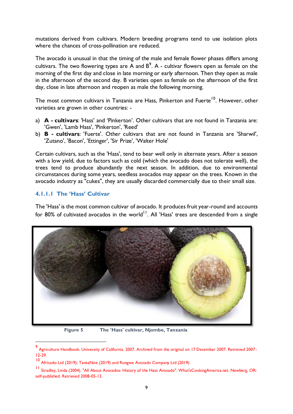mutations derived from cultivars. Modern breeding programs tend to use isolation plots where the chances of cross-pollination are reduced.

The avocado is unusual in that the timing of the male and female flower phases differs among cultivars. The two flowering types are A and  $B^9$ . A - cultivar flowers open as female on the morning of the first day and close in late morning or early afternoon. Then they open as male in the afternoon of the second day. B varieties open as female on the afternoon of the first day, close in late afternoon and reopen as male the following morning.

The most common cultivars in Tanzania are Hass, Pinkerton and Fuerte<sup>10</sup>. However, other varieties are grown in other countries: -

- a) **A - cultivars**: 'Hass' and 'Pinkerton'. Other cultivars that are not found in Tanzania are: 'Gwen', 'Lamb Hass', 'Pinkerton', 'Reed'
- b) **B - cultivars**: 'Fuerte'. Other cultivars that are not found in Tanzania are 'Sharwil', 'Zutano', 'Bacon', 'Ettinger', 'Sir Prize', 'Walter Hole'

<span id="page-12-0"></span>Certain cultivars, such as the 'Hass', tend to bear well only in alternate years. After a season with a low yield, due to factors such as cold (which the avocado does not tolerate well), the trees tend to produce abundantly the next season. In addition, due to environmental circumstances during some years, seedless avocados may appear on the trees. Known in the avocado industry as "cukes", they are usually discarded commercially due to their small size.

#### **4.1.1.1 The 'Hass' Cultivar**

The 'Hass' is the most common cultivar of avocado. It produces fruit year-round and accounts for 80% of cultivated avocados in the world<sup>11</sup>. All 'Hass' trees are descended from a single



**Figure 5 The 'Hass' cultivar, Njombe, Tanzania**

<sup>9</sup> Agriculture Handbook. University of California. 2007. Archived from the original on 17 December 2007. Retrieved 2007- 12-29.

<sup>10</sup> Africado Ltd (2019); TanzaNice (2019) and Rungwe Avocado Company Ltd (2019)

<sup>11</sup> Stradley, Linda (2004). "All About Avocados: History of the Hass Avocado". What'sCookingAmerica.net. Newberg, OR: self-published. Retrieved 2008-05-13.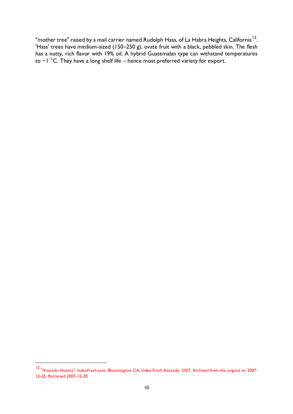"mother tree" raised by a mail carrier named Rudolph Hass, of La Habra Heights, California  $^{12}$ . 'Hass' trees have medium-sized (150–250 g), ovate fruit with a black, pebbled skin. The flesh has a nutty, rich flavor with 19% oil. A hybrid Guatemalan type can withstand temperatures to −1 °C. They have a long shelf life – hence most preferred variety for export.

<sup>12</sup> "Avocado History". IndexFresh.com. Bloomington, CA: Index Fresh Avocado. 2007. Archived from the original on 2007- 12-25. Retrieved 2007-12-29.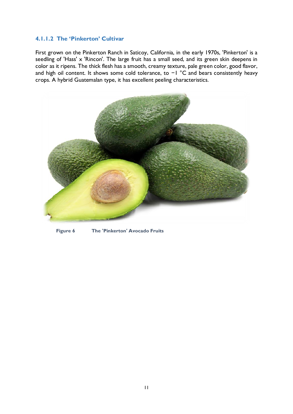#### <span id="page-14-0"></span>**4.1.1.2 The 'Pinkerton' Cultivar**

First grown on the Pinkerton Ranch in Saticoy, California, in the early 1970s, 'Pinkerton' is a seedling of 'Hass' x 'Rincon'. The large fruit has a small seed, and its green skin deepens in color as it ripens. The thick flesh has a smooth, creamy texture, pale green color, good flavor, and high oil content. It shows some cold tolerance, to −1 °C and bears consistently heavy crops. A hybrid Guatemalan type, it has excellent peeling characteristics.



**Figure 6 The 'Pinkerton' Avocado Fruits**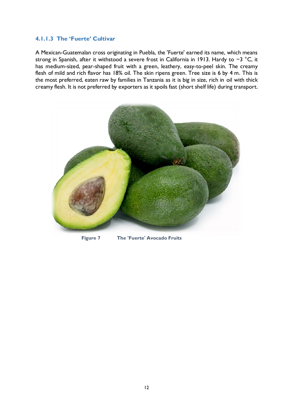#### <span id="page-15-0"></span>**4.1.1.3 The 'Fuerte' Cultivar**

A Mexican-Guatemalan cross originating in Puebla, the 'Fuerte' earned its name, which means strong in Spanish, after it withstood a severe frost in California in 1913. Hardy to −3 °C, it has medium-sized, pear-shaped fruit with a green, leathery, easy-to-peel skin. The creamy flesh of mild and rich flavor has 18% oil. The skin ripens green. Tree size is 6 by 4 m. This is the most preferred, eaten raw by families in Tanzania as it is big in size, rich in oil with thick creamy flesh. It is not preferred by exporters as it spoils fast (short shelf life) during transport.



**Figure 7 The 'Fuerte' Avocado Fruits**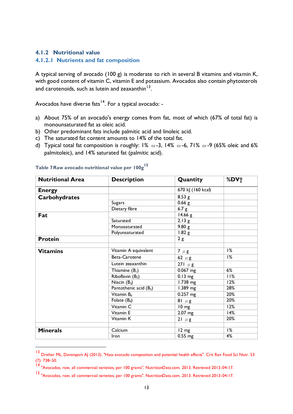#### <span id="page-16-1"></span><span id="page-16-0"></span>**4.1.2 Nutritional value**

#### **4.1.2.1 Nutrients and fat composition**

A typical serving of avocado (100 g) is moderate to rich in several B vitamins and vitamin K, with good content of vitamin C, vitamin E and potassium. Avocados also contain phytosterols and carotenoids, such as lutein and zeaxanthin  $^{13}.$ 

Avocados have diverse fats $14$ . For a typical avocado: -

- a) About 75% of an avocado's energy comes from fat, most of which (67% of total fat) is monounsaturated fat as oleic acid.
- b) Other predominant fats include palmitic acid and linoleic acid.
- <span id="page-16-2"></span>c) The saturated fat content amounts to 14% of the total fat.
- d) Typical total fat composition is roughly: 1%  $\omega$ -3, 14%  $\omega$ -6, 71%  $\omega$ -9 (65% oleic and 6% palmitoleic), and 14% saturated fat (palmitic acid).

| <b>Nutritional Area</b> | <b>Description</b>                         | Quantity          | %DV <sup>+</sup> |
|-------------------------|--------------------------------------------|-------------------|------------------|
| <b>Energy</b>           |                                            | 670 kJ (160 kcal) |                  |
| <b>Carbohydrates</b>    |                                            | 8.53 g            |                  |
|                         | <b>Sugars</b>                              | $0.66$ g          |                  |
|                         | Dietary fibre                              | 6.7 g             |                  |
| Fat                     |                                            | 14.66 g           |                  |
|                         | Saturated                                  | 2.13g             |                  |
|                         | Monosaturated                              | 9.80 g            |                  |
|                         | Polyunsaturated                            | 1.82 g            |                  |
| <b>Protein</b>          |                                            | 2g                |                  |
|                         |                                            |                   |                  |
| <b>Vitamins</b>         | Vitamin A equivalent                       | $7 \mu g$         | 1%               |
|                         | Beta-Carotene                              | 62 $\mu$ g        | 1%               |
|                         | Lutein zeaxanthin                          | 271 $\mu$ g       |                  |
|                         | Thiamine $(B1)$                            | $0.067$ mg        | 6%               |
|                         | Riboflavin $(B_2)$                         | $0.13$ mg         | 11%              |
|                         | Niacin $(B_3)$                             | $1.738$ mg        | 12%              |
|                         | Pantothenic acid (B <sub>5</sub> )         | 1.389 mg          | 28%              |
|                         | $\overline{\text{V}$ itamin B <sub>6</sub> | $0.257$ mg        | 20%              |
|                         | Folate $(B9)$                              | 81 $\mu$ g        | 20%              |
|                         | Vitamin <sub>C</sub>                       | $10 \text{ mg}$   | 12%              |
|                         | Vitamin E                                  | $2.07$ mg         | 14%              |
|                         | Vitamin K                                  | $21 \mu g$        | 20%              |
|                         |                                            |                   |                  |
| <b>Minerals</b>         | Calcium                                    | $12 \text{ mg}$   | 1%               |
|                         | <b>Iron</b>                                | $0.55$ mg         | 4%               |

**Table 7Raw avocado nutritional value per 100g<sup>15</sup>**

<sup>&</sup>lt;sup>13</sup> Dreher ML, Davenport AJ (2013). "Hass avocado composition and potential health effects". Crit Rev Food Sci Nutr. 53 (7): 738–50.

<sup>14</sup> "Avocados, raw, all commercial varieties, per 100 grams". NutritionData.com. 2013. Retrieved 2013-04-17.

<sup>15</sup> "Avocados, raw, all commercial varieties, per 100 grams". NutritionData.com. 2013. Retrieved 2013-04-17.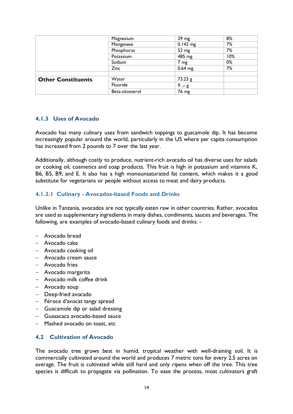|                           | Magnesium       | $29 \text{ mg}$ | 8%  |
|---------------------------|-----------------|-----------------|-----|
|                           | Manganese       | $0.142$ mg      | 7%  |
|                           | Phosphorus      | 52 mg           | 7%  |
|                           | Potassium       | 485 mg          | 10% |
|                           | Sodium          | $7 \text{ mg}$  | 0%  |
|                           | Zinc            | $0.64$ mg       | 7%  |
|                           |                 |                 |     |
| <b>Other Constituents</b> | Water           | $73.23$ g       |     |
|                           | Fluoride        | 9 $\mu$ g       |     |
|                           | Beta-sitosterol | 76 mg           |     |

#### <span id="page-17-0"></span>**4.1.3 Uses of Avocado**

Avocado has many culinary uses from sandwich toppings to guacamole dip. It has become increasingly popular around the world, particularly in the US where per capita consumption has increased from 2 pounds to 7 over the last year.

<span id="page-17-1"></span>Additionally, although costly to produce, nutrient-rich avocado oil has diverse uses for salads or cooking oil, cosmetics and soap products. This fruit is high in potassium and vitamins K, B6, B5, B9, and E. It also has a high monounsaturated fat content, which makes it a good substitute for vegetarians or people without access to meat and dairy products.

#### **4.1.3.1 Culinary - Avocados-based Foods and Drinks**

Unlike in Tanzania, avocados are not typically eaten raw in other countries. Rather, avocados are used as supplementary ingredients in many dishes, condiments, sauces and beverages. The following, are examples of avocado-based culinary foods and drinks: -

- − Avocado bread
- − Avocado cake
- − Avocado cooking oil
- − Avocado cream sauce
- − Avocado fries
- − Avocado margarita
- − Avocado milk coffee drink
- − Avocado soup
- − Deep-fried avocado
- − Féroce d'avocat tangy spread
- <span id="page-17-2"></span>− Guacamole dip or salad dressing
- − Guasacaca avocado-based sauce
- − Mashed avocado on toast, etc

#### **4.2 Cultivation of Avocado**

The avocado tree grows best in humid, tropical weather with well-draining soil. It is commercially cultivated around the world and produces 7 metric tons for every 2.5 acres on average. The fruit is cultivated while still hard and only ripens when off the tree. This tree species is difficult to propagate via pollination. To ease the process, most cultivators graft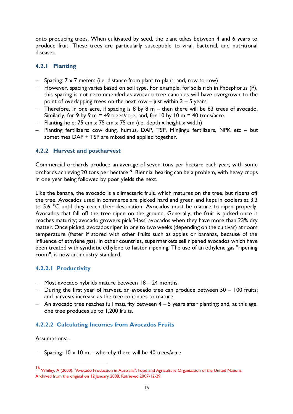<span id="page-18-0"></span>onto producing trees. When cultivated by seed, the plant takes between 4 and 6 years to produce fruit. These trees are particularly susceptible to viral, bacterial, and nutritional diseases.

#### **4.2.1 Planting**

- − Spacing: 7 x 7 meters (i.e. distance from plant to plant; and, row to row)
- − However, spacing varies based on soil type. For example, for soils rich in Phosphorus (P), this spacing is not recommended as avocado tree canopies will have overgrown to the point of overlapping trees on the next row  $-$  just within  $3 - 5$  years.
- − Therefore, in one acre, if spacing is 8 by 8 m then there will be 63 trees of avocado. Similarly, for 9 by 9 m = 49 trees/acre; and, for 10 by 10 m = 40 trees/acre.
- <span id="page-18-1"></span>− Planting hole: 75 cm x 75 cm x 75 cm (i.e. depth x height x width)
- − Planting fertilizers: cow dung, humus, DAP, TSP, Minjingu fertilizers, NPK etc but sometimes DAP + TSP are mixed and applied together.

#### **4.2.2 Harvest and postharvest**

Commercial orchards produce an average of seven tons per hectare each year, with some orchards achieving 20 tons per hectare<sup>16</sup>. Biennial bearing can be a problem, with heavy crops in one year being followed by poor yields the next.

Like the banana, the avocado is a climacteric fruit, which matures on the tree, but ripens off the tree. Avocados used in commerce are picked hard and green and kept in coolers at 3.3 to 5.6 °C until they reach their destination. Avocados must be mature to ripen properly. Avocados that fall off the tree ripen on the ground. Generally, the fruit is picked once it reaches maturity; avocado growers pick 'Hass' avocados when they have more than 23% dry matter. Once picked, avocados ripen in one to two weeks (depending on the cultivar) at room temperature (faster if stored with other fruits such as apples or bananas, because of the influence of ethylene gas). In other countries, supermarkets sell ripened avocados which have been treated with synthetic ethylene to hasten ripening. The use of an ethylene gas "ripening room", is now an industry standard.

#### <span id="page-18-2"></span>**4.2.2.1 Productivity**

- − Most avocado hybrids mature between 18 24 months.
- − During the first year of harvest, an avocado tree can produce between 50 100 fruits; and harvests increase as the tree continues to mature.
- <span id="page-18-3"></span>− An avocado tree reaches full maturity between 4 – 5 years after planting; and, at this age, one tree produces up to 1,200 fruits.

#### **4.2.2.2 Calculating Incomes from Avocados Fruits**

Assumptions: -

Spacing:  $10 \times 10$  m – whereby there will be 40 trees/acre

<sup>16</sup> Whiley, A (2000). "Avocado Production in Australia". Food and Agriculture Organization of the United Nations. Archived from the original on 12 January 2008. Retrieved 2007-12-29.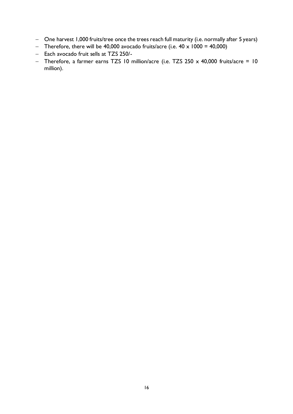- − One harvest 1,000 fruits/tree once the trees reach full maturity (i.e. normally after 5 years)
- − Therefore, there will be 40,000 avocado fruits/acre (i.e. 40 x 1000 = 40,000)
- − Each avocado fruit sells at TZS 250/-
- − Therefore, a farmer earns TZS 10 million/acre (i.e. TZS 250 x 40,000 fruits/acre = 10 million).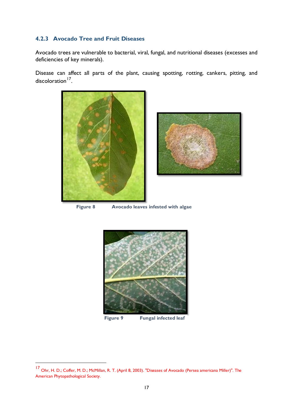#### <span id="page-20-0"></span>**4.2.3 Avocado Tree and Fruit Diseases**

Avocado trees are vulnerable to bacterial, viral, fungal, and nutritional diseases (excesses and deficiencies of key minerals).

Disease can affect all parts of the plant, causing spotting, rotting, cankers, pitting, and discoloration<sup>17</sup>.





**Figure 8 Avocado leaves infested with algae**



**Figure 9 Fungal infected leaf**

<sup>17</sup> Ohr, H. D.; Coffer, M. D.; McMillan, R. T. (April 8, 2003). "Diseases of Avocado (Persea americana Miller)". The American Phytopathological Society.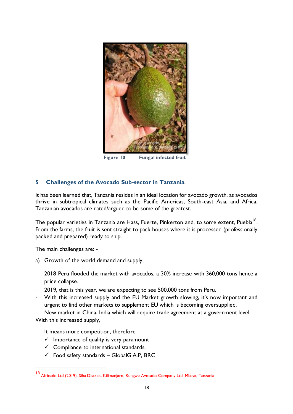

**Figure 10 Fungal infected fruit**

#### <span id="page-21-0"></span>**5 Challenges of the Avocado Sub-sector in Tanzania**

It has been learned that, Tanzania resides in an ideal location for avocado growth, as avocados thrive in subtropical climates such as the Pacific Americas, South-east Asia, and Africa. Tanzanian avocados are rated/argued to be some of the greatest.

The popular varieties in Tanzania are Hass, Fuerte, Pinkerton and, to some extent, Puebla<sup>18</sup>. From the farms, the fruit is sent straight to pack houses where it is processed (professionally packed and prepared) ready to ship.

The main challenges are: -

- a) Growth of the world demand and supply,
- − 2018 Peru flooded the market with avocados, a 30% increase with 360,000 tons hence a price collapse.
- − 2019, that is this year, we are expecting to see 500,000 tons from Peru.
- With this increased supply and the EU Market growth slowing, it's now important and urgent to find other markets to supplement EU which is becoming oversupplied.
- New market in China, India which will require trade agreement at a government level. With this increased supply,
- It means more competition, therefore
	- $\checkmark$  Importance of quality is very paramount
	- $\checkmark$  Compliance to international standards,
	- $\checkmark$  Food safety standards GlobalG.A.P, BRC

<sup>18</sup> Africado Ltd (2019). Siha District, Kilimanjaro; Rungwe Avocado Company Ltd, Mbeya, Tanzania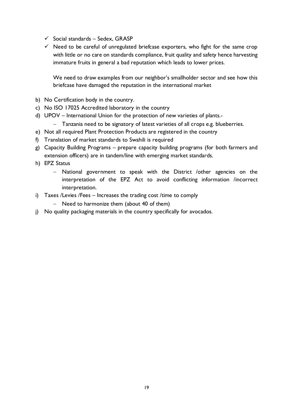- $\checkmark$  Social standards Sedex, GRASP
- $\checkmark$  Need to be careful of unregulated briefcase exporters, who fight for the same crop with little or no care on standards compliance, fruit quality and safety hence harvesting immature fruits in general a bad reputation which leads to lower prices.

We need to draw examples from our neighbor's smallholder sector and see how this briefcase have damaged the reputation in the international market

- b) No Certification body in the country.
- c) No ISO 17025 Accredited laboratory in the country
- d) UPOV International Union for the protection of new varieties of plants.-
	- − Tanzania need to be signatory of latest varieties of all crops e.g. blueberries.
- e) Not all required Plant Protection Products are registered in the country
- f) Translation of market standards to Swahili is required
- g) Capacity Building Programs prepare capacity building programs (for both farmers and extension officers) are in tandem/line with emerging market standards.
- h) EPZ Status
	- − National government to speak with the District /other agencies on the interpretation of the EPZ Act to avoid conflicting information /incorrect interpretation.
- i) Taxes /Levies /Fees Increases the trading cost /time to comply
	- − Need to harmonize them (about 40 of them)
- j) No quality packaging materials in the country specifically for avocados.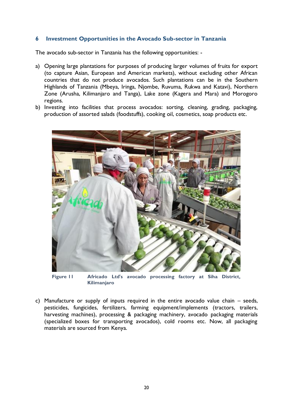#### <span id="page-23-0"></span>**6 Investment Opportunities in the Avocado Sub-sector in Tanzania**

The avocado sub-sector in Tanzania has the following opportunities: -

- a) Opening large plantations for purposes of producing larger volumes of fruits for export (to capture Asian, European and American markets), without excluding other African countries that do not produce avocados. Such plantations can be in the Southern Highlands of Tanzania (Mbeya, Iringa, Njombe, Ruvuma, Rukwa and Katavi), Northern Zone (Arusha, Kilimanjaro and Tanga), Lake zone (Kagera and Mara) and Morogoro regions.
- b) Investing into facilities that process avocados: sorting, cleaning, grading, packaging, production of assorted salads (foodstuffs), cooking oil, cosmetics, soap products etc.



**Figure 11 Africado Ltd's avocado processing factory at Siha District, Kilimanjaro**

c) Manufacture or supply of inputs required in the entire avocado value chain – seeds, pesticides, fungicides, fertilizers, farming equipment/implements (tractors, trailers, harvesting machines), processing & packaging machinery, avocado packaging materials (specialized boxes for transporting avocados), cold rooms etc. Now, all packaging materials are sourced from Kenya.